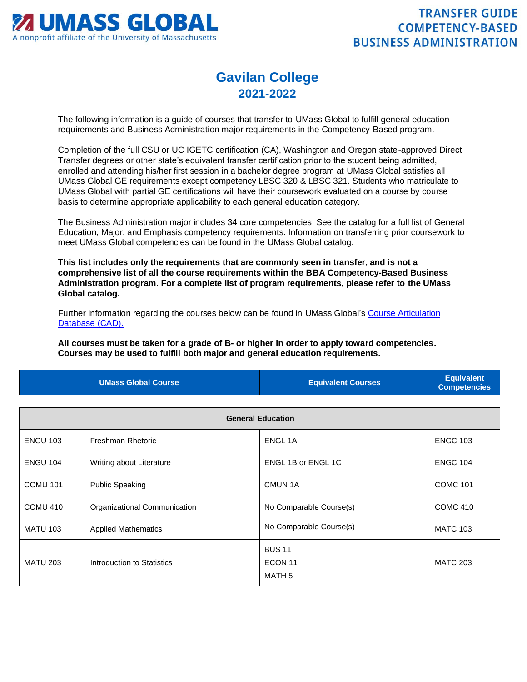

## **Gavilan College 2021-2022**

The following information is a guide of courses that transfer to UMass Global to fulfill general education requirements and Business Administration major requirements in the Competency-Based program.

Completion of the full CSU or UC IGETC certification (CA), Washington and Oregon state-approved Direct Transfer degrees or other state's equivalent transfer certification prior to the student being admitted, enrolled and attending his/her first session in a bachelor degree program at UMass Global satisfies all UMass Global GE requirements except competency LBSC 320 & LBSC 321. Students who matriculate to UMass Global with partial GE certifications will have their coursework evaluated on a course by course basis to determine appropriate applicability to each general education category.

The Business Administration major includes 34 core competencies. See the catalog for a full list of General Education, Major, and Emphasis competency requirements. Information on transferring prior coursework to meet UMass Global competencies can be found in the UMass Global catalog.

**This list includes only the requirements that are commonly seen in transfer, and is not a comprehensive list of all the course requirements within the BBA Competency-Based Business Administration program. For a complete list of program requirements, please refer to the UMass Global catalog.**

Further information regarding the courses below can be found in UMass Global's [Course Articulation](http://services.umassglobal.edu/studentservices/TransferCredit/)  [Database \(CAD\).](http://services.umassglobal.edu/studentservices/TransferCredit/) 

**All courses must be taken for a grade of B- or higher in order to apply toward competencies. Courses may be used to fulfill both major and general education requirements.** 

| <b>UMass Global Course</b> | <b>Equivalent Courses</b> | <b>Equivalent</b><br><b>Competencies</b> |
|----------------------------|---------------------------|------------------------------------------|
|                            |                           |                                          |

| <b>General Education</b> |                              |                                               |                 |
|--------------------------|------------------------------|-----------------------------------------------|-----------------|
| <b>ENGU 103</b>          | Freshman Rhetoric            | ENGL 1A                                       | <b>ENGC 103</b> |
| <b>ENGU 104</b>          | Writing about Literature     | ENGL 1B or ENGL 1C                            | <b>ENGC 104</b> |
| <b>COMU 101</b>          | Public Speaking I            | CMUN <sub>1</sub> A                           | <b>COMC 101</b> |
| <b>COMU 410</b>          | Organizational Communication | No Comparable Course(s)                       | <b>COMC 410</b> |
| <b>MATU 103</b>          | <b>Applied Mathematics</b>   | No Comparable Course(s)                       | <b>MATC 103</b> |
| <b>MATU 203</b>          | Introduction to Statistics   | <b>BUS 11</b><br>ECON <sub>11</sub><br>MATH 5 | <b>MATC 203</b> |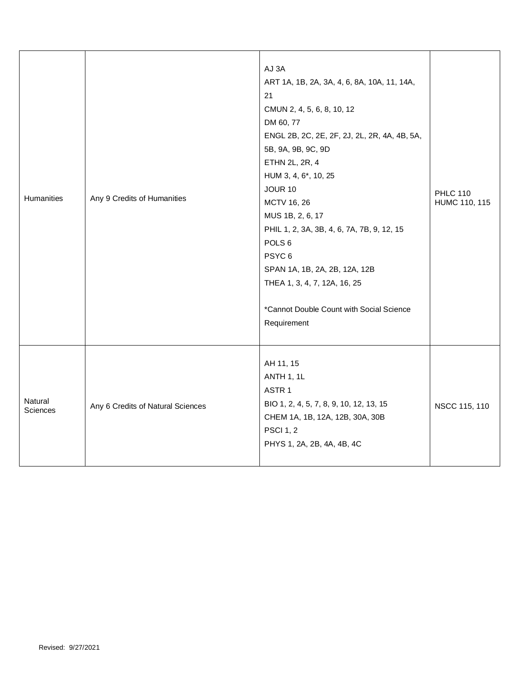| Humanities                 | Any 9 Credits of Humanities       | AJ 3A<br>ART 1A, 1B, 2A, 3A, 4, 6, 8A, 10A, 11, 14A,<br>21<br>CMUN 2, 4, 5, 6, 8, 10, 12<br>DM 60, 77<br>ENGL 2B, 2C, 2E, 2F, 2J, 2L, 2R, 4A, 4B, 5A,<br>5B, 9A, 9B, 9C, 9D<br>ETHN 2L, 2R, 4<br>HUM 3, 4, 6*, 10, 25<br><b>JOUR 10</b><br>MCTV 16, 26<br>MUS 1B, 2, 6, 17<br>PHIL 1, 2, 3A, 3B, 4, 6, 7A, 7B, 9, 12, 15<br>POLS <sub>6</sub><br>PSYC <sub>6</sub><br>SPAN 1A, 1B, 2A, 2B, 12A, 12B<br>THEA 1, 3, 4, 7, 12A, 16, 25<br>*Cannot Double Count with Social Science<br>Requirement | <b>PHLC 110</b><br>HUMC 110, 115 |
|----------------------------|-----------------------------------|------------------------------------------------------------------------------------------------------------------------------------------------------------------------------------------------------------------------------------------------------------------------------------------------------------------------------------------------------------------------------------------------------------------------------------------------------------------------------------------------|----------------------------------|
| Natural<br><b>Sciences</b> | Any 6 Credits of Natural Sciences | AH 11, 15<br>ANTH 1, 1L<br>ASTR <sub>1</sub><br>BIO 1, 2, 4, 5, 7, 8, 9, 10, 12, 13, 15<br>CHEM 1A, 1B, 12A, 12B, 30A, 30B<br><b>PSCI 1, 2</b><br>PHYS 1, 2A, 2B, 4A, 4B, 4C                                                                                                                                                                                                                                                                                                                   | NSCC 115, 110                    |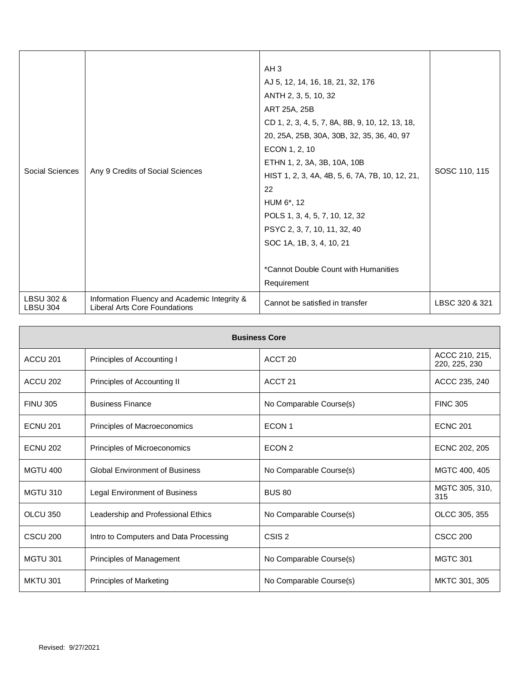| Social Sciences                          | Any 9 Credits of Social Sciences                                              | AH <sub>3</sub><br>AJ 5, 12, 14, 16, 18, 21, 32, 176<br>ANTH 2, 3, 5, 10, 32<br>ART 25A, 25B<br>CD 1, 2, 3, 4, 5, 7, 8A, 8B, 9, 10, 12, 13, 18,<br>20, 25A, 25B, 30A, 30B, 32, 35, 36, 40, 97<br>ECON 1, 2, 10<br>ETHN 1, 2, 3A, 3B, 10A, 10B<br>HIST 1, 2, 3, 4A, 4B, 5, 6, 7A, 7B, 10, 12, 21,<br>22<br>HUM 6*, 12<br>POLS 1, 3, 4, 5, 7, 10, 12, 32<br>PSYC 2, 3, 7, 10, 11, 32, 40<br>SOC 1A, 1B, 3, 4, 10, 21<br>*Cannot Double Count with Humanities<br>Requirement | SOSC 110, 115  |
|------------------------------------------|-------------------------------------------------------------------------------|---------------------------------------------------------------------------------------------------------------------------------------------------------------------------------------------------------------------------------------------------------------------------------------------------------------------------------------------------------------------------------------------------------------------------------------------------------------------------|----------------|
| <b>LBSU 302 &amp;</b><br><b>LBSU 304</b> | Information Fluency and Academic Integrity &<br>Liberal Arts Core Foundations | Cannot be satisfied in transfer                                                                                                                                                                                                                                                                                                                                                                                                                                           | LBSC 320 & 321 |

| <b>Business Core</b> |                                        |                         |                                 |
|----------------------|----------------------------------------|-------------------------|---------------------------------|
| ACCU <sub>201</sub>  | Principles of Accounting I             | ACCT <sub>20</sub>      | ACCC 210, 215,<br>220, 225, 230 |
| ACCU 202             | Principles of Accounting II            | ACCT <sub>21</sub>      | ACCC 235, 240                   |
| <b>FINU 305</b>      | <b>Business Finance</b>                | No Comparable Course(s) | <b>FINC 305</b>                 |
| <b>ECNU 201</b>      | Principles of Macroeconomics           | ECON <sub>1</sub>       | <b>ECNC 201</b>                 |
| <b>ECNU 202</b>      | Principles of Microeconomics           | ECON <sub>2</sub>       | ECNC 202, 205                   |
| <b>MGTU 400</b>      | <b>Global Environment of Business</b>  | No Comparable Course(s) | MGTC 400, 405                   |
| <b>MGTU 310</b>      | Legal Environment of Business          | <b>BUS 80</b>           | MGTC 305, 310,<br>315           |
| <b>OLCU 350</b>      | Leadership and Professional Ethics     | No Comparable Course(s) | OLCC 305, 355                   |
| CSCU <sub>200</sub>  | Intro to Computers and Data Processing | CSIS <sub>2</sub>       | <b>CSCC 200</b>                 |
| <b>MGTU 301</b>      | Principles of Management               | No Comparable Course(s) | <b>MGTC 301</b>                 |
| <b>MKTU 301</b>      | Principles of Marketing                | No Comparable Course(s) | MKTC 301, 305                   |